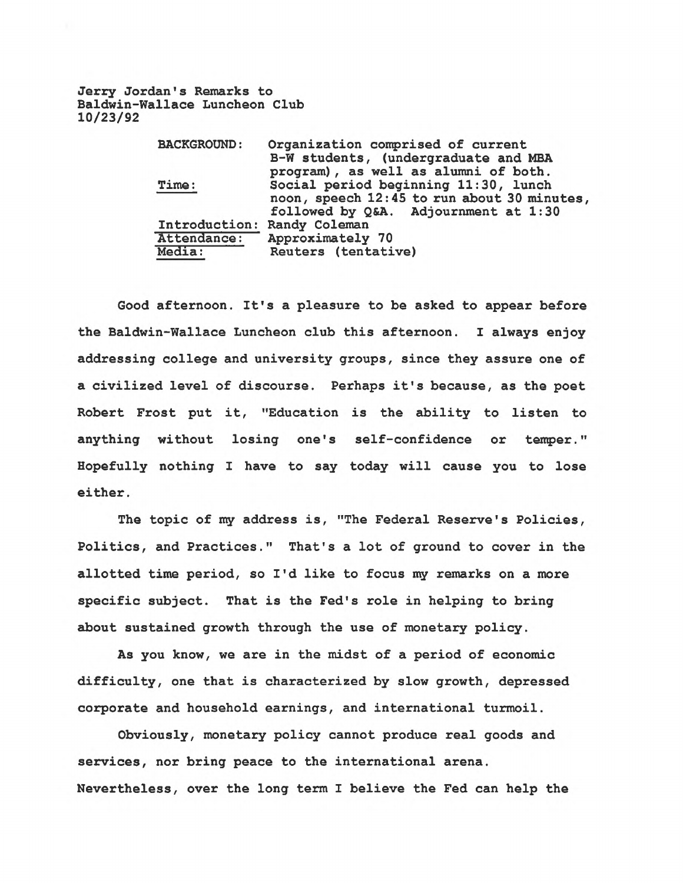**Jerry Jordan's Remarks to Baldwin-Wallace Luncheon Club 10/23/92**

| <b>BACKGROUND:</b>          | Organization comprised of current           |
|-----------------------------|---------------------------------------------|
|                             | B-W students, (undergraduate and MBA        |
|                             | program), as well as alumni of both.        |
| Time:                       | Social period beginning 11:30, lunch        |
|                             | noon, speech 12:45 to run about 30 minutes, |
|                             | followed by Q&A. Adjournment at 1:30        |
| Introduction: Randy Coleman |                                             |
| Attendance:                 | Approximately 70                            |
| Media:                      | Reuters (tentative)                         |

**Good afternoon. It's a pleasure to be asked to appear before the Baldwin-Wallace Luncheon club this afternoon. I always enjoy addressing college and university groups, since they assure one of a civilized level of discourse. Perhaps it's because, as the poet Robert Frost put it, "Education is the ability to listen to anything without losing one's self-confidence or temper." Hopefully nothing I have to say today will cause you to lose either.**

**The topic of my address is, "The Federal Reserve's Policies, Politics, and Practices." That's a lot of ground to cover in the allotted time period, so I'd like to focus my remarks on a more specific subject. That is the Fed's role in helping to bring about sustained growth through the use of monetary policy.**

**As you know, we are in the midst of a period of economic difficulty, one that is characterized by slow growth, depressed corporate and household earnings, and international turmoil.**

**Obviously, monetary policy cannot produce real goods and services, nor bring peace to the international arena. Nevertheless, over the long term I believe the Fed can help the**